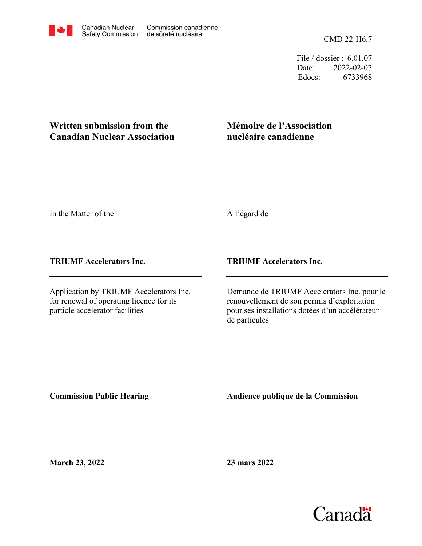CMD 22-H6.7

File / dossier : 6.01.07 Date: 2022-02-07 Edocs: 6733968

## **Written submission from the Canadian Nuclear Association**

## **Mémoire de l'Association nucléaire canadienne**

In the Matter of the

À l'égard de

## **TRIUMF Accelerators Inc.**

Application by TRIUMF Accelerators Inc. for renewal of operating licence for its particle accelerator facilities

## **TRIUMF Accelerators Inc.**

Demande de TRIUMF Accelerators Inc. pour le renouvellement de son permis d'exploitation pour ses installations dotées d'un accélérateur de particules

**Commission Public Hearing**

**Audience publique de la Commission** 

**March 23, 2022**

**23 mars 2022**

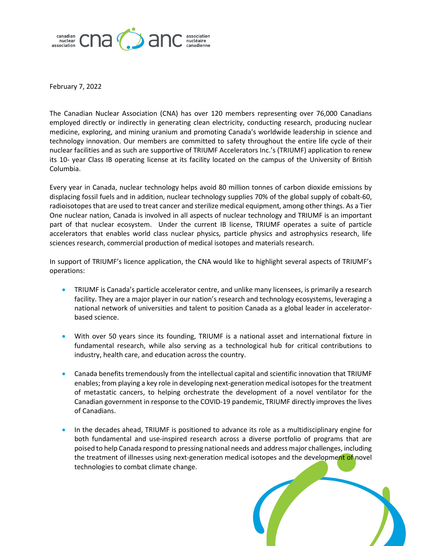

February 7, 2022

The Canadian Nuclear Association (CNA) has over 120 members representing over 76,000 Canadians employed directly or indirectly in generating clean electricity, conducting research, producing nuclear medicine, exploring, and mining uranium and promoting Canada's worldwide leadership in science and technology innovation. Our members are committed to safety throughout the entire life cycle of their nuclear facilities and as such are supportive of TRIUMF Accelerators Inc.'s (TRIUMF) application to renew its 10- year Class IB operating license at its facility located on the campus of the University of British Columbia.

Every year in Canada, nuclear technology helps avoid 80 million tonnes of carbon dioxide emissions by displacing fossil fuels and in addition, nuclear technology supplies 70% of the global supply of cobalt-60, radioisotopes that are used to treat cancer and sterilize medical equipment, among other things. As a Tier One nuclear nation, Canada is involved in all aspects of nuclear technology and TRIUMF is an important part of that nuclear ecosystem. Under the current IB license, TRIUMF operates a suite of particle accelerators that enables world class nuclear physics, particle physics and astrophysics research, life sciences research, commercial production of medical isotopes and materials research.

In support of TRIUMF's licence application, the CNA would like to highlight several aspects of TRIUMF's operations:

- TRIUMF is Canada's particle accelerator centre, and unlike many licensees, is primarily a research facility. They are a major player in our nation's research and technology ecosystems, leveraging a national network of universities and talent to position Canada as a global leader in acceleratorbased science.
- With over 50 years since its founding, TRIUMF is a national asset and international fixture in fundamental research, while also serving as a technological hub for critical contributions to industry, health care, and education across the country.
- Canada benefits tremendously from the intellectual capital and scientific innovation that TRIUMF enables; from playing a key role in developing next-generation medical isotopes for the treatment of metastatic cancers, to helping orchestrate the development of a novel ventilator for the Canadian government in response to the COVID-19 pandemic, TRIUMF directly improves the lives of Canadians.
- In the decades ahead, TRIUMF is positioned to advance its role as a multidisciplinary engine for both fundamental and use-inspired research across a diverse portfolio of programs that are poised to help Canada respond to pressing national needs and address major challenges, including the treatment of illnesses using next-generation medical isotopes and the development of novel technologies to combat climate change.

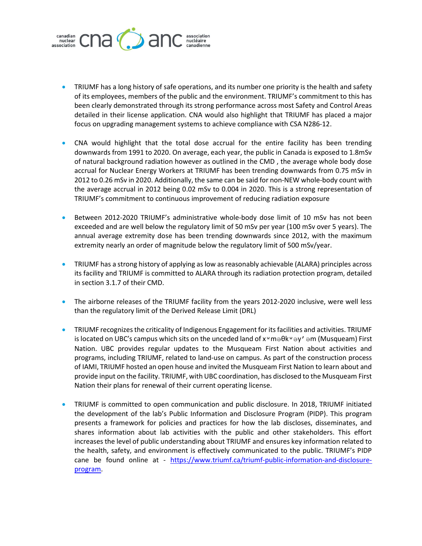

- TRIUMF has a long history of safe operations, and its number one priority is the health and safety of its employees, members of the public and the environment. TRIUMF's commitment to this has been clearly demonstrated through its strong performance across most Safety and Control Areas detailed in their license application. CNA would also highlight that TRIUMF has placed a major focus on upgrading management systems to achieve compliance with CSA N286-12.
- CNA would highlight that the total dose accrual for the entire facility has been trending downwards from 1991 to 2020. On average, each year, the public in Canada is exposed to 1.8mSv of natural background radiation however as outlined in the CMD , the average whole body dose accrual for Nuclear Energy Workers at TRIUMF has been trending downwards from 0.75 mSv in 2012 to 0.26 mSv in 2020. Additionally, the same can be said for non-NEW whole-body count with the average accrual in 2012 being 0.02 mSv to 0.004 in 2020. This is a strong representation of TRIUMF's commitment to continuous improvement of reducing radiation exposure
- Between 2012-2020 TRIUMF's administrative whole-body dose limit of 10 mSv has not been exceeded and are well below the regulatory limit of 50 mSv per year (100 mSv over 5 years). The annual average extremity dose has been trending downwards since 2012, with the maximum extremity nearly an order of magnitude below the regulatory limit of 500 mSv/year.
- TRIUMF has a strong history of applying as low as reasonably achievable (ALARA) principles across its facility and TRIUMF is committed to ALARA through its radiation protection program, detailed in section 3.1.7 of their CMD.
- The airborne releases of the TRIUMF facility from the years 2012-2020 inclusive, were well less than the regulatory limit of the Derived Release Limit (DRL)
- TRIUMF recognizes the criticality of Indigenous Engagement for its facilities and activities. TRIUMF is located on UBC's campus which sits on the unceded land of  $x^w$ m $\Rightarrow$  $\theta$ k $^w \Rightarrow y' \Rightarrow$  (Musqueam) First Nation. UBC provides regular updates to the Musqueam First Nation about activities and programs, including TRIUMF, related to land-use on campus. As part of the construction process of IAMI, TRIUMF hosted an open house and invited the Musqueam First Nation to learn about and provide input on the facility. TRIUMF, with UBC coordination, has disclosed to the Musqueam First Nation their plans for renewal of their current operating license.
- TRIUMF is committed to open communication and public disclosure. In 2018, TRIUMF initiated the development of the lab's Public Information and Disclosure Program (PIDP). This program presents a framework for policies and practices for how the lab discloses, disseminates, and shares information about lab activities with the public and other stakeholders. This effort increases the level of public understanding about TRIUMF and ensures key information related to the health, safety, and environment is effectively communicated to the public. TRIUMF's PIDP cane be found online at - https://www.triumf.ca/triumf-public-information-and-disclosureprogram.